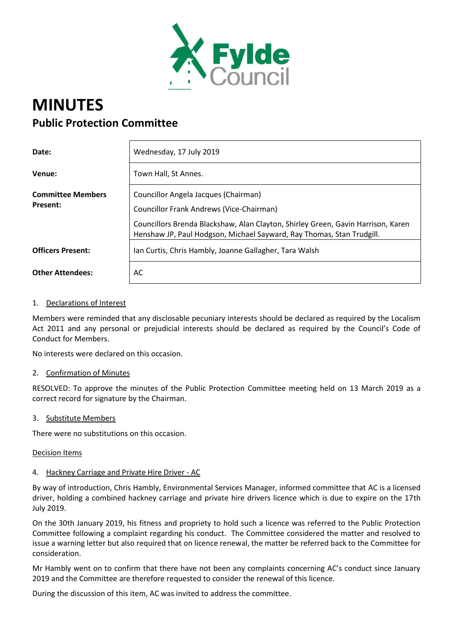

# **MINUTES Public Protection Committee**

| Date:                    | Wednesday, 17 July 2019                                                                                                                                   |
|--------------------------|-----------------------------------------------------------------------------------------------------------------------------------------------------------|
| Venue:                   | Town Hall, St Annes.                                                                                                                                      |
| <b>Committee Members</b> | Councillor Angela Jacques (Chairman)                                                                                                                      |
| Present:                 | Councillor Frank Andrews (Vice-Chairman)                                                                                                                  |
|                          | Councillors Brenda Blackshaw, Alan Clayton, Shirley Green, Gavin Harrison, Karen<br>Henshaw JP, Paul Hodgson, Michael Sayward, Ray Thomas, Stan Trudgill. |
| <b>Officers Present:</b> | Ian Curtis, Chris Hambly, Joanne Gallagher, Tara Walsh                                                                                                    |
| <b>Other Attendees:</b>  | AC                                                                                                                                                        |

## 1. Declarations of Interest

Members were reminded that any disclosable pecuniary interests should be declared as required by the Localism Act 2011 and any personal or prejudicial interests should be declared as required by the Council's Code of Conduct for Members.

No interests were declared on this occasion.

#### 2. Confirmation of Minutes

RESOLVED: To approve the minutes of the Public Protection Committee meeting held on 13 March 2019 as a correct record for signature by the Chairman.

#### 3. Substitute Members

There were no substitutions on this occasion.

#### Decision Items

#### 4. Hackney Carriage and Private Hire Driver - AC

By way of introduction, Chris Hambly, Environmental Services Manager, informed committee that AC is a licensed driver, holding a combined hackney carriage and private hire drivers licence which is due to expire on the 17th July 2019.

On the 30th January 2019, his fitness and propriety to hold such a licence was referred to the Public Protection Committee following a complaint regarding his conduct. The Committee considered the matter and resolved to issue a warning letter but also required that on licence renewal, the matter be referred back to the Committee for consideration.

Mr Hambly went on to confirm that there have not been any complaints concerning AC's conduct since January 2019 and the Committee are therefore requested to consider the renewal of this licence.

During the discussion of this item, AC was invited to address the committee.